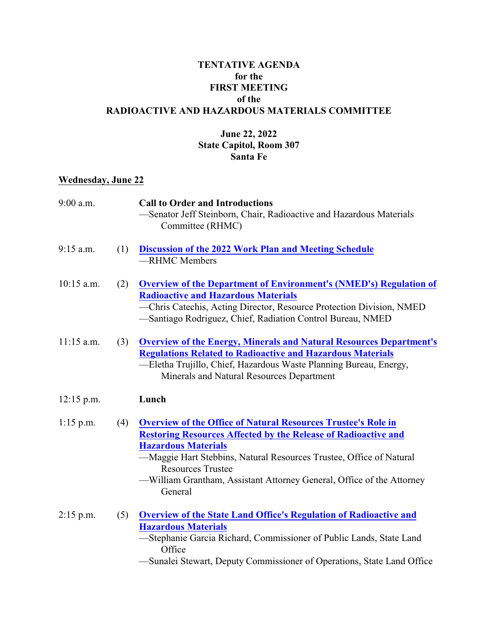## **TENTATIVE AGENDA for the FIRST MEETING of the RADIOACTIVE AND HAZARDOUS MATERIALS COMMITTEE**

## **June 22, 2022 State Capitol, Room 307 Santa Fe**

## **Wednesday, June 22**

| $9:00$ a.m.  |     | <b>Call to Order and Introductions</b><br>-Senator Jeff Steinborn, Chair, Radioactive and Hazardous Materials<br>Committee (RHMC)                                                                                                                                                                                                                                  |
|--------------|-----|--------------------------------------------------------------------------------------------------------------------------------------------------------------------------------------------------------------------------------------------------------------------------------------------------------------------------------------------------------------------|
| 9:15 a.m.    | (1) | <b>Discussion of the 2022 Work Plan and Meeting Schedule</b><br>-RHMC Members                                                                                                                                                                                                                                                                                      |
| $10:15$ a.m. | (2) | <b>Overview of the Department of Environment's (NMED's) Regulation of</b><br><b>Radioactive and Hazardous Materials</b><br>-Chris Catechis, Acting Director, Resource Protection Division, NMED<br>-Santiago Rodriguez, Chief, Radiation Control Bureau, NMED                                                                                                      |
| $11:15$ a.m. | (3) | <b>Overview of the Energy, Minerals and Natural Resources Department's</b><br><b>Regulations Related to Radioactive and Hazardous Materials</b><br>-Eletha Trujillo, Chief, Hazardous Waste Planning Bureau, Energy,<br>Minerals and Natural Resources Department                                                                                                  |
| $12:15$ p.m. |     | Lunch                                                                                                                                                                                                                                                                                                                                                              |
| $1:15$ p.m.  | (4) | <b>Overview of the Office of Natural Resources Trustee's Role in</b><br><b>Restoring Resources Affected by the Release of Radioactive and</b><br><b>Hazardous Materials</b><br>-Maggie Hart Stebbins, Natural Resources Trustee, Office of Natural<br><b>Resources Trustee</b><br>—William Grantham, Assistant Attorney General, Office of the Attorney<br>General |
| $2:15$ p.m.  | (5) | <b>Overview of the State Land Office's Regulation of Radioactive and</b><br><b>Hazardous Materials</b><br>-Stephanie Garcia Richard, Commissioner of Public Lands, State Land<br>Office<br>-Sunalei Stewart, Deputy Commissioner of Operations, State Land Office                                                                                                  |